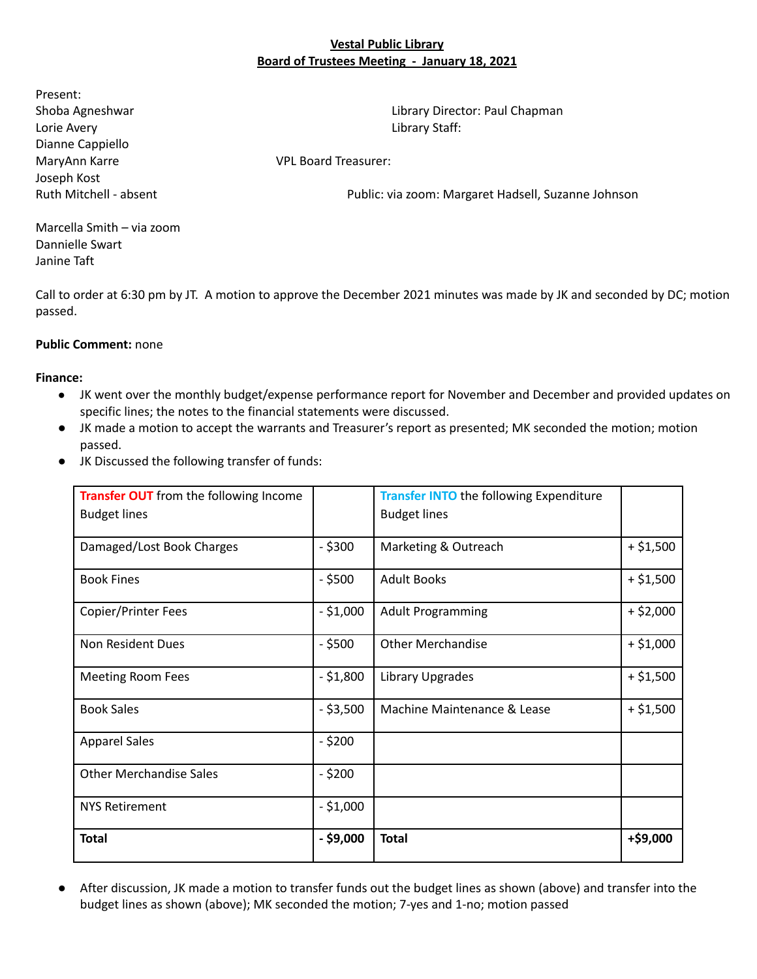#### **Vestal Public Library Board of Trustees Meeting - January 18, 2021**

Present: Lorie Avery Library Staff: Dianne Cappiello MaryAnn Karre VPL Board Treasurer: Joseph Kost

Shoba Agneshwar Library Director: Paul Chapman

Ruth Mitchell - absent Public: via zoom: Margaret Hadsell, Suzanne Johnson

Marcella Smith – via zoom Dannielle Swart Janine Taft

Call to order at 6:30 pm by JT. A motion to approve the December 2021 minutes was made by JK and seconded by DC; motion passed.

#### **Public Comment:** none

**Finance:**

- JK went over the monthly budget/expense performance report for November and December and provided updates on specific lines; the notes to the financial statements were discussed.
- JK made a motion to accept the warrants and Treasurer's report as presented; MK seconded the motion; motion passed.
- JK Discussed the following transfer of funds:

| Transfer OUT from the following Income |             | <b>Transfer INTO the following Expenditure</b> |             |
|----------------------------------------|-------------|------------------------------------------------|-------------|
| <b>Budget lines</b>                    |             | <b>Budget lines</b>                            |             |
| Damaged/Lost Book Charges              | $-$ \$300   | Marketing & Outreach                           | $+ $1,500$  |
| <b>Book Fines</b>                      | $-$ \$500   | <b>Adult Books</b>                             | $+ $1,500$  |
| Copier/Printer Fees                    | $-$ \$1,000 | <b>Adult Programming</b>                       | $+$ \$2,000 |
| Non Resident Dues                      | $-$ \$500   | <b>Other Merchandise</b>                       | $+ $1,000$  |
| <b>Meeting Room Fees</b>               | $- $1,800$  | Library Upgrades                               | $+ $1,500$  |
| <b>Book Sales</b>                      | $-$ \$3,500 | Machine Maintenance & Lease                    | $+ $1,500$  |
| <b>Apparel Sales</b>                   | $-$ \$200   |                                                |             |
| <b>Other Merchandise Sales</b>         | $-$ \$200   |                                                |             |
| <b>NYS Retirement</b>                  | $- $1,000$  |                                                |             |
| <b>Total</b>                           | $-$ \$9,000 | <b>Total</b>                                   | +\$9,000    |

● After discussion, JK made a motion to transfer funds out the budget lines as shown (above) and transfer into the budget lines as shown (above); MK seconded the motion; 7-yes and 1-no; motion passed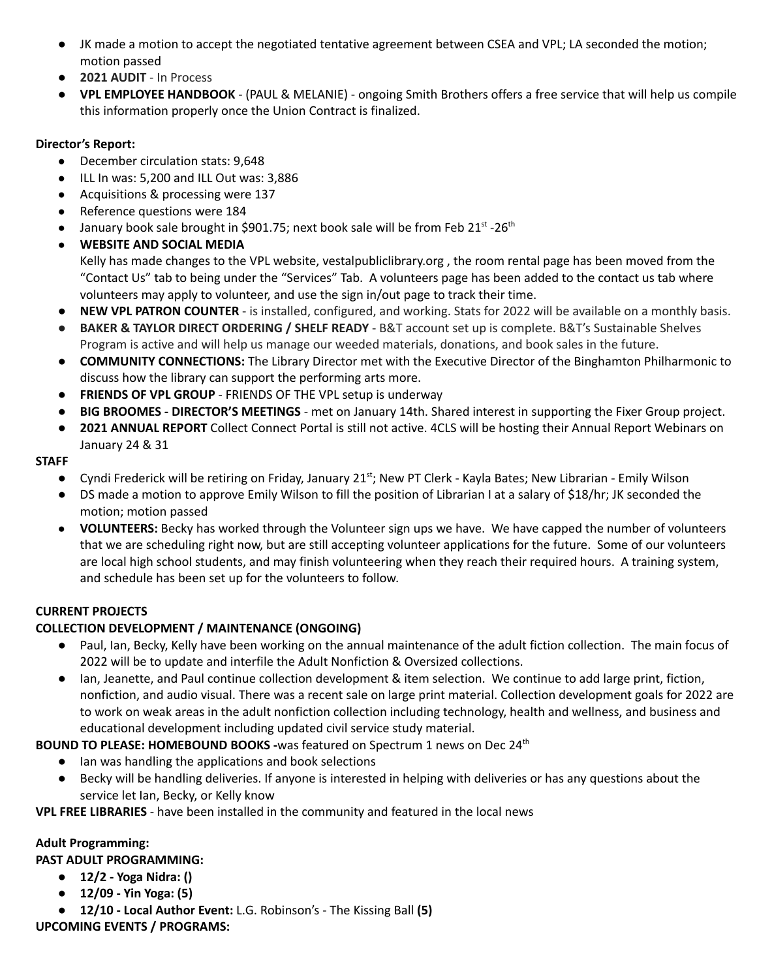- JK made a motion to accept the negotiated tentative agreement between CSEA and VPL; LA seconded the motion; motion passed
- **2021 AUDIT** In Process
- **VPL EMPLOYEE HANDBOOK** (PAUL & MELANIE) ongoing Smith Brothers offers a free service that will help us compile this information properly once the Union Contract is finalized.

### **Director's Report:**

- December circulation stats: 9,648
- ILL In was: 5,200 and ILL Out was: 3,886
- Acquisitions & processing were 137
- Reference questions were 184
- January book sale brought in \$901.75; next book sale will be from Feb 21st -26<sup>th</sup>
- **WEBSITE AND SOCIAL MEDIA**

Kelly has made changes to the VPL website, vestalpubliclibrary.org , the room rental page has been moved from the "Contact Us" tab to being under the "Services" Tab. A volunteers page has been added to the contact us tab where volunteers may apply to volunteer, and use the sign in/out page to track their time.

- **NEW VPL PATRON COUNTER** is installed, configured, and working. Stats for 2022 will be available on a monthly basis.
- **BAKER & TAYLOR DIRECT ORDERING / SHELF READY** B&T account set up is complete. B&T's Sustainable Shelves Program is active and will help us manage our weeded materials, donations, and book sales in the future.
- **● COMMUNITY CONNECTIONS:** The Library Director met with the Executive Director of the Binghamton Philharmonic to discuss how the library can support the performing arts more.
- **FRIENDS OF VPL GROUP** FRIENDS OF THE VPL setup is underway
- **BIG BROOMES - DIRECTOR'S MEETINGS** met on January 14th. Shared interest in supporting the Fixer Group project.
- 2021 ANNUAL REPORT Collect Connect Portal is still not active. 4CLS will be hosting their Annual Report Webinars on January 24 & 31

### **STAFF**

- Cyndi Frederick will be retiring on Friday, January 21<sup>st</sup>; New PT Clerk Kayla Bates; New Librarian Emily Wilson
- DS made a motion to approve Emily Wilson to fill the position of Librarian I at a salary of \$18/hr; JK seconded the motion; motion passed
- **VOLUNTEERS:** Becky has worked through the Volunteer sign ups we have. We have capped the number of volunteers that we are scheduling right now, but are still accepting volunteer applications for the future. Some of our volunteers are local high school students, and may finish volunteering when they reach their required hours. A training system, and schedule has been set up for the volunteers to follow.

# **CURRENT PROJECTS**

# **COLLECTION DEVELOPMENT / MAINTENANCE (ONGOING)**

- Paul, Ian, Becky, Kelly have been working on the annual maintenance of the adult fiction collection. The main focus of 2022 will be to update and interfile the Adult Nonfiction & Oversized collections.
- Ian, Jeanette, and Paul continue collection development & item selection. We continue to add large print, fiction, nonfiction, and audio visual. There was a recent sale on large print material. Collection development goals for 2022 are to work on weak areas in the adult nonfiction collection including technology, health and wellness, and business and educational development including updated civil service study material.

**BOUND TO PLEASE: HOMEBOUND BOOKS -**was featured on Spectrum 1 news on Dec 24 th

- **●** Ian was handling the applications and book selections
- Becky will be handling deliveries. If anyone is interested in helping with deliveries or has any questions about the service let Ian, Becky, or Kelly know

**VPL FREE LIBRARIES** - have been installed in the community and featured in the local news

# **Adult Programming:**

**PAST ADULT PROGRAMMING:**

- **● 12/2 - Yoga Nidra: ()**
- **● 12/09 - Yin Yoga: (5)**
- **● 12/10 - Local Author Event:** L.G. Robinson's The Kissing Ball **(5)**

**UPCOMING EVENTS / PROGRAMS:**